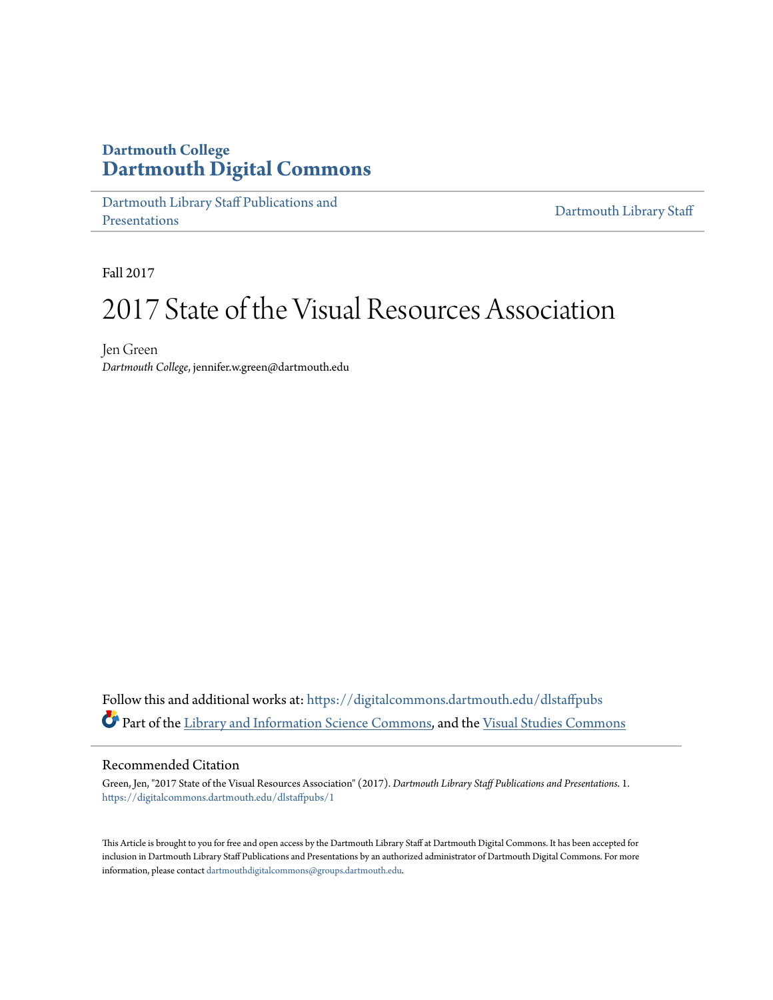### **Dartmouth College [Dartmouth Digital Commons](https://digitalcommons.dartmouth.edu?utm_source=digitalcommons.dartmouth.edu%2Fdlstaffpubs%2F1&utm_medium=PDF&utm_campaign=PDFCoverPages)**

[Dartmouth Library Staff Publications and](https://digitalcommons.dartmouth.edu/dlstaffpubs?utm_source=digitalcommons.dartmouth.edu%2Fdlstaffpubs%2F1&utm_medium=PDF&utm_campaign=PDFCoverPages) [Presentations](https://digitalcommons.dartmouth.edu/dlstaffpubs?utm_source=digitalcommons.dartmouth.edu%2Fdlstaffpubs%2F1&utm_medium=PDF&utm_campaign=PDFCoverPages)

[Dartmouth Library Staff](https://digitalcommons.dartmouth.edu/dlstaff?utm_source=digitalcommons.dartmouth.edu%2Fdlstaffpubs%2F1&utm_medium=PDF&utm_campaign=PDFCoverPages)

Fall 2017

## 2017 State of the Visual Resources Association

Jen Green *Dartmouth College*, jennifer.w.green@dartmouth.edu

Follow this and additional works at: [https://digitalcommons.dartmouth.edu/dlstaffpubs](https://digitalcommons.dartmouth.edu/dlstaffpubs?utm_source=digitalcommons.dartmouth.edu%2Fdlstaffpubs%2F1&utm_medium=PDF&utm_campaign=PDFCoverPages) Part of the [Library and Information Science Commons,](http://network.bepress.com/hgg/discipline/1018?utm_source=digitalcommons.dartmouth.edu%2Fdlstaffpubs%2F1&utm_medium=PDF&utm_campaign=PDFCoverPages) and the [Visual Studies Commons](http://network.bepress.com/hgg/discipline/564?utm_source=digitalcommons.dartmouth.edu%2Fdlstaffpubs%2F1&utm_medium=PDF&utm_campaign=PDFCoverPages)

### Recommended Citation

Green, Jen, "2017 State of the Visual Resources Association" (2017). *Dartmouth Library Staff Publications and Presentations*. 1. [https://digitalcommons.dartmouth.edu/dlstaffpubs/1](https://digitalcommons.dartmouth.edu/dlstaffpubs/1?utm_source=digitalcommons.dartmouth.edu%2Fdlstaffpubs%2F1&utm_medium=PDF&utm_campaign=PDFCoverPages)

This Article is brought to you for free and open access by the Dartmouth Library Staff at Dartmouth Digital Commons. It has been accepted for inclusion in Dartmouth Library Staff Publications and Presentations by an authorized administrator of Dartmouth Digital Commons. For more information, please contact [dartmouthdigitalcommons@groups.dartmouth.edu](mailto:dartmouthdigitalcommons@groups.dartmouth.edu).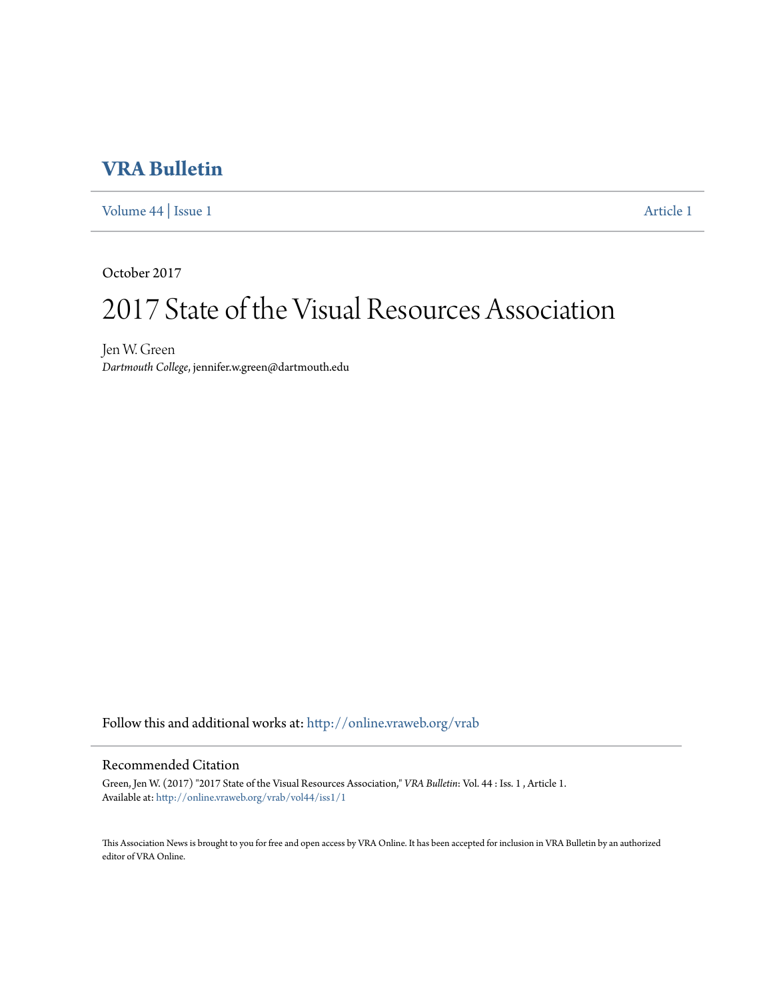### **[VRA Bulletin](http://online.vraweb.org/vrab?utm_source=online.vraweb.org%2Fvrab%2Fvol44%2Fiss1%2F1&utm_medium=PDF&utm_campaign=PDFCoverPages)**

[Volume 44](http://online.vraweb.org/vrab/vol44?utm_source=online.vraweb.org%2Fvrab%2Fvol44%2Fiss1%2F1&utm_medium=PDF&utm_campaign=PDFCoverPages) | [Issue 1](http://online.vraweb.org/vrab/vol44/iss1?utm_source=online.vraweb.org%2Fvrab%2Fvol44%2Fiss1%2F1&utm_medium=PDF&utm_campaign=PDFCoverPages) [Article 1](http://online.vraweb.org/vrab/vol44/iss1/1?utm_source=online.vraweb.org%2Fvrab%2Fvol44%2Fiss1%2F1&utm_medium=PDF&utm_campaign=PDFCoverPages)

October 2017

# 2017 State of the Visual Resources Association

Jen W. Green *Dartmouth College*, jennifer.w.green@dartmouth.edu

Follow this and additional works at: [http://online.vraweb.org/vrab](http://online.vraweb.org/vrab?utm_source=online.vraweb.org%2Fvrab%2Fvol44%2Fiss1%2F1&utm_medium=PDF&utm_campaign=PDFCoverPages)

### Recommended Citation

Green, Jen W. (2017) "2017 State of the Visual Resources Association," *VRA Bulletin*: Vol. 44 : Iss. 1 , Article 1. Available at: [http://online.vraweb.org/vrab/vol44/iss1/1](http://online.vraweb.org/vrab/vol44/iss1/1?utm_source=online.vraweb.org%2Fvrab%2Fvol44%2Fiss1%2F1&utm_medium=PDF&utm_campaign=PDFCoverPages)

This Association News is brought to you for free and open access by VRA Online. It has been accepted for inclusion in VRA Bulletin by an authorized editor of VRA Online.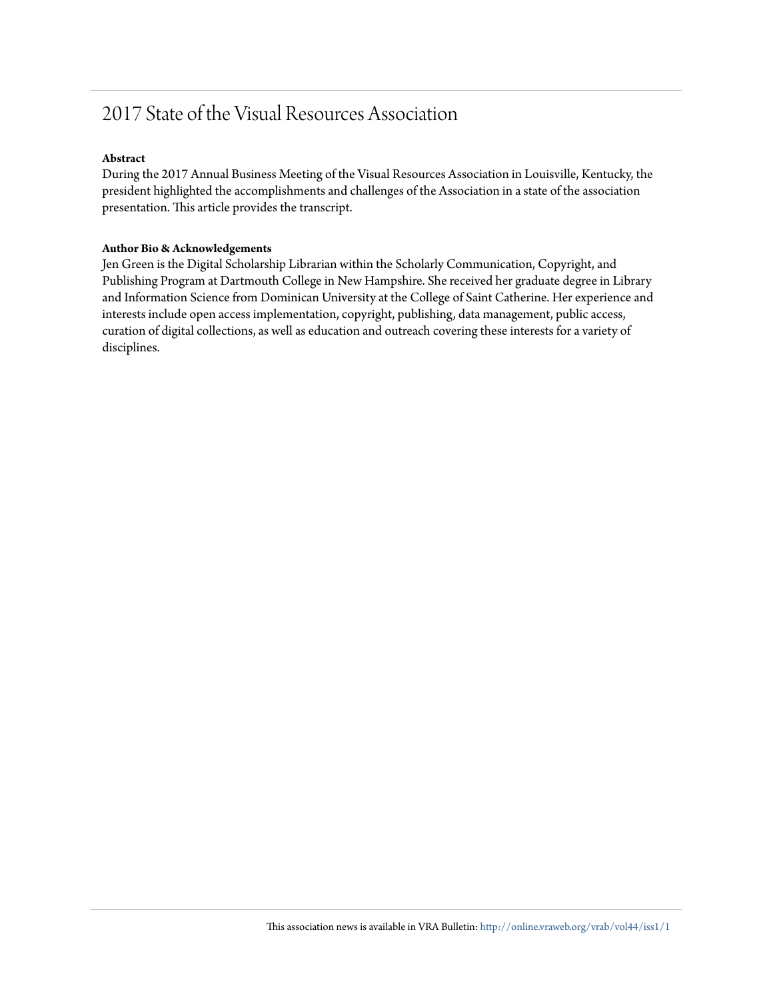## 2017 State of the Visual Resources Association

#### **Abstract**

During the 2017 Annual Business Meeting of the Visual Resources Association in Louisville, Kentucky, the president highlighted the accomplishments and challenges of the Association in a state of the association presentation. This article provides the transcript.

#### **Author Bio & Acknowledgements**

Jen Green is the Digital Scholarship Librarian within the Scholarly Communication, Copyright, and Publishing Program at Dartmouth College in New Hampshire. She received her graduate degree in Library and Information Science from Dominican University at the College of Saint Catherine. Her experience and interests include open access implementation, copyright, publishing, data management, public access, curation of digital collections, as well as education and outreach covering these interests for a variety of disciplines.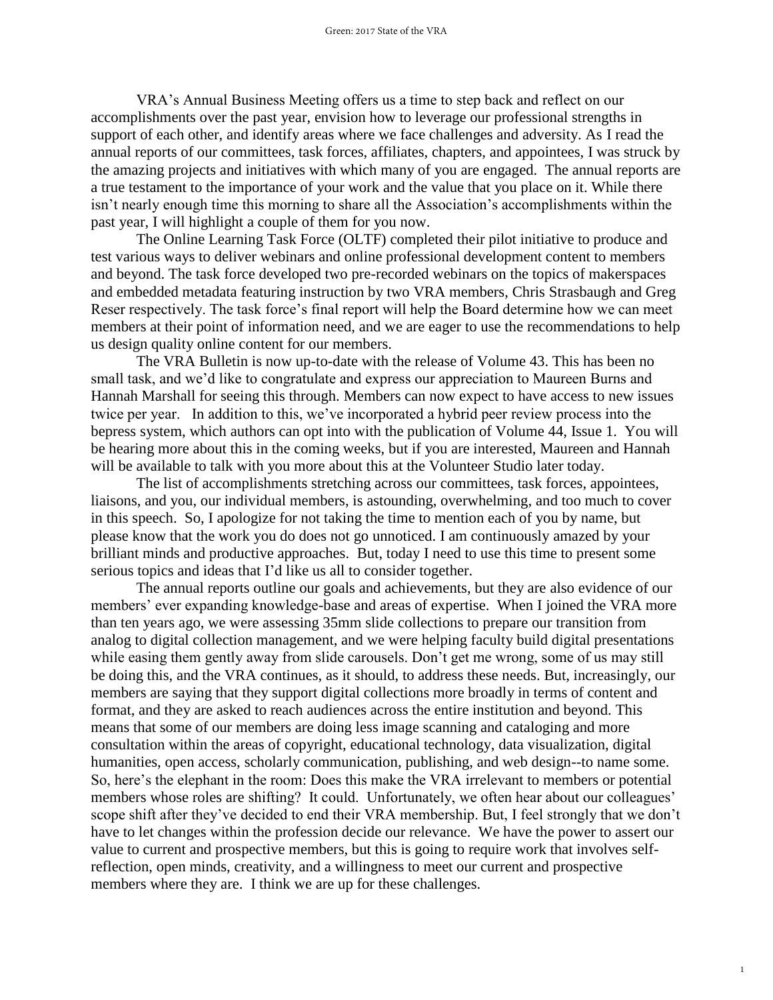VRA's Annual Business Meeting offers us a time to step back and reflect on our accomplishments over the past year, envision how to leverage our professional strengths in support of each other, and identify areas where we face challenges and adversity. As I read the annual reports of our committees, task forces, affiliates, chapters, and appointees, I was struck by the amazing projects and initiatives with which many of you are engaged. The annual reports are a true testament to the importance of your work and the value that you place on it. While there isn't nearly enough time this morning to share all the Association's accomplishments within the past year, I will highlight a couple of them for you now.

The Online Learning Task Force (OLTF) completed their pilot initiative to produce and test various ways to deliver webinars and online professional development content to members and beyond. The task force developed two pre-recorded webinars on the topics of makerspaces and embedded metadata featuring instruction by two VRA members, Chris Strasbaugh and Greg Reser respectively. The task force's final report will help the Board determine how we can meet members at their point of information need, and we are eager to use the recommendations to help us design quality online content for our members.

The VRA Bulletin is now up-to-date with the release of Volume 43. This has been no small task, and we'd like to congratulate and express our appreciation to Maureen Burns and Hannah Marshall for seeing this through. Members can now expect to have access to new issues twice per year. In addition to this, we've incorporated a hybrid peer review process into the bepress system, which authors can opt into with the publication of Volume 44, Issue 1. You will be hearing more about this in the coming weeks, but if you are interested, Maureen and Hannah will be available to talk with you more about this at the Volunteer Studio later today.

The list of accomplishments stretching across our committees, task forces, appointees, liaisons, and you, our individual members, is astounding, overwhelming, and too much to cover in this speech. So, I apologize for not taking the time to mention each of you by name, but please know that the work you do does not go unnoticed. I am continuously amazed by your brilliant minds and productive approaches. But, today I need to use this time to present some serious topics and ideas that I'd like us all to consider together.

The annual reports outline our goals and achievements, but they are also evidence of our members' ever expanding knowledge-base and areas of expertise. When I joined the VRA more than ten years ago, we were assessing 35mm slide collections to prepare our transition from analog to digital collection management, and we were helping faculty build digital presentations while easing them gently away from slide carousels. Don't get me wrong, some of us may still be doing this, and the VRA continues, as it should, to address these needs. But, increasingly, our members are saying that they support digital collections more broadly in terms of content and format, and they are asked to reach audiences across the entire institution and beyond. This means that some of our members are doing less image scanning and cataloging and more consultation within the areas of copyright, educational technology, data visualization, digital humanities, open access, scholarly communication, publishing, and web design--to name some. So, here's the elephant in the room: Does this make the VRA irrelevant to members or potential members whose roles are shifting? It could. Unfortunately, we often hear about our colleagues' scope shift after they've decided to end their VRA membership. But, I feel strongly that we don't have to let changes within the profession decide our relevance. We have the power to assert our value to current and prospective members, but this is going to require work that involves selfreflection, open minds, creativity, and a willingness to meet our current and prospective members where they are. I think we are up for these challenges.

1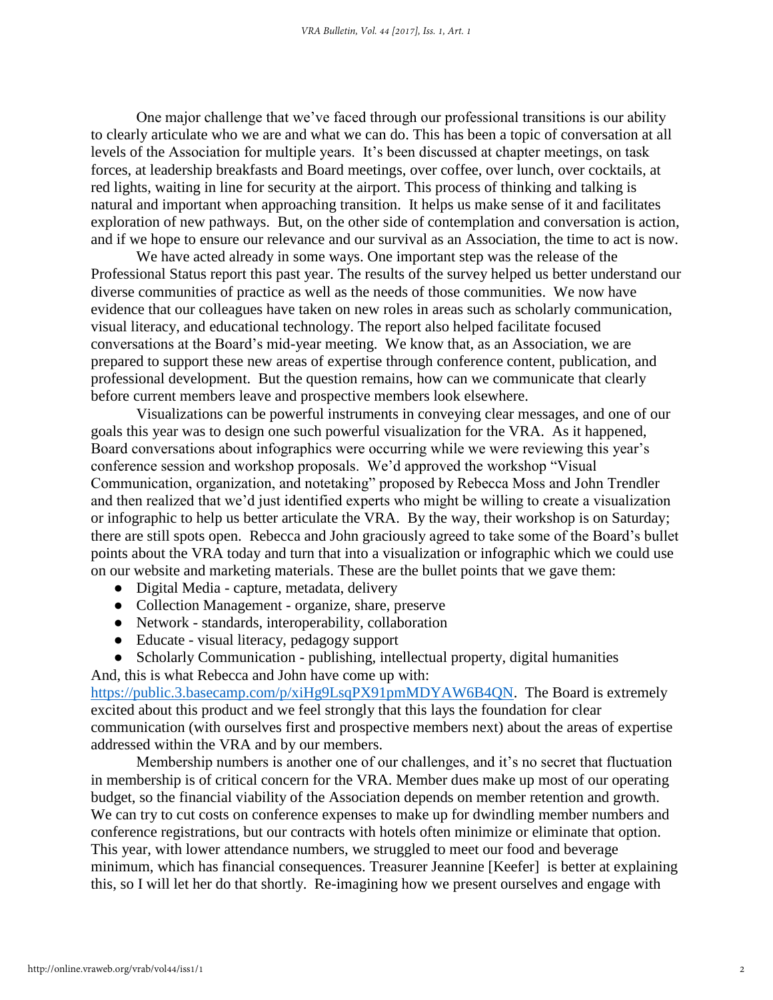One major challenge that we've faced through our professional transitions is our ability to clearly articulate who we are and what we can do. This has been a topic of conversation at all levels of the Association for multiple years. It's been discussed at chapter meetings, on task forces, at leadership breakfasts and Board meetings, over coffee, over lunch, over cocktails, at red lights, waiting in line for security at the airport. This process of thinking and talking is natural and important when approaching transition. It helps us make sense of it and facilitates exploration of new pathways. But, on the other side of contemplation and conversation is action, and if we hope to ensure our relevance and our survival as an Association, the time to act is now.

We have acted already in some ways. One important step was the release of the Professional Status report this past year. The results of the survey helped us better understand our diverse communities of practice as well as the needs of those communities. We now have evidence that our colleagues have taken on new roles in areas such as scholarly communication, visual literacy, and educational technology. The report also helped facilitate focused conversations at the Board's mid-year meeting. We know that, as an Association, we are prepared to support these new areas of expertise through conference content, publication, and professional development. But the question remains, how can we communicate that clearly before current members leave and prospective members look elsewhere.

Visualizations can be powerful instruments in conveying clear messages, and one of our goals this year was to design one such powerful visualization for the VRA. As it happened, Board conversations about infographics were occurring while we were reviewing this year's conference session and workshop proposals. We'd approved the workshop "Visual Communication, organization, and notetaking" proposed by Rebecca Moss and John Trendler and then realized that we'd just identified experts who might be willing to create a visualization or infographic to help us better articulate the VRA. By the way, their workshop is on Saturday; there are still spots open. Rebecca and John graciously agreed to take some of the Board's bullet points about the VRA today and turn that into a visualization or infographic which we could use on our website and marketing materials. These are the bullet points that we gave them:

- Digital Media capture, metadata, delivery
- Collection Management organize, share, preserve
- Network standards, interoperability, collaboration
- Educate visual literacy, pedagogy support
- Scholarly Communication publishing, intellectual property, digital humanities
- And, this is what Rebecca and John have come up with:

[https://public.3.basecamp.com/p/xiHg9LsqPX91pmMDYAW6B4QN.](https://public.3.basecamp.com/p/xiHg9LsqPX91pmMDYAW6B4QN) The Board is extremely excited about this product and we feel strongly that this lays the foundation for clear communication (with ourselves first and prospective members next) about the areas of expertise addressed within the VRA and by our members.

Membership numbers is another one of our challenges, and it's no secret that fluctuation in membership is of critical concern for the VRA. Member dues make up most of our operating budget, so the financial viability of the Association depends on member retention and growth. We can try to cut costs on conference expenses to make up for dwindling member numbers and conference registrations, but our contracts with hotels often minimize or eliminate that option. This year, with lower attendance numbers, we struggled to meet our food and beverage minimum, which has financial consequences. Treasurer Jeannine [Keefer] is better at explaining this, so I will let her do that shortly. Re-imagining how we present ourselves and engage with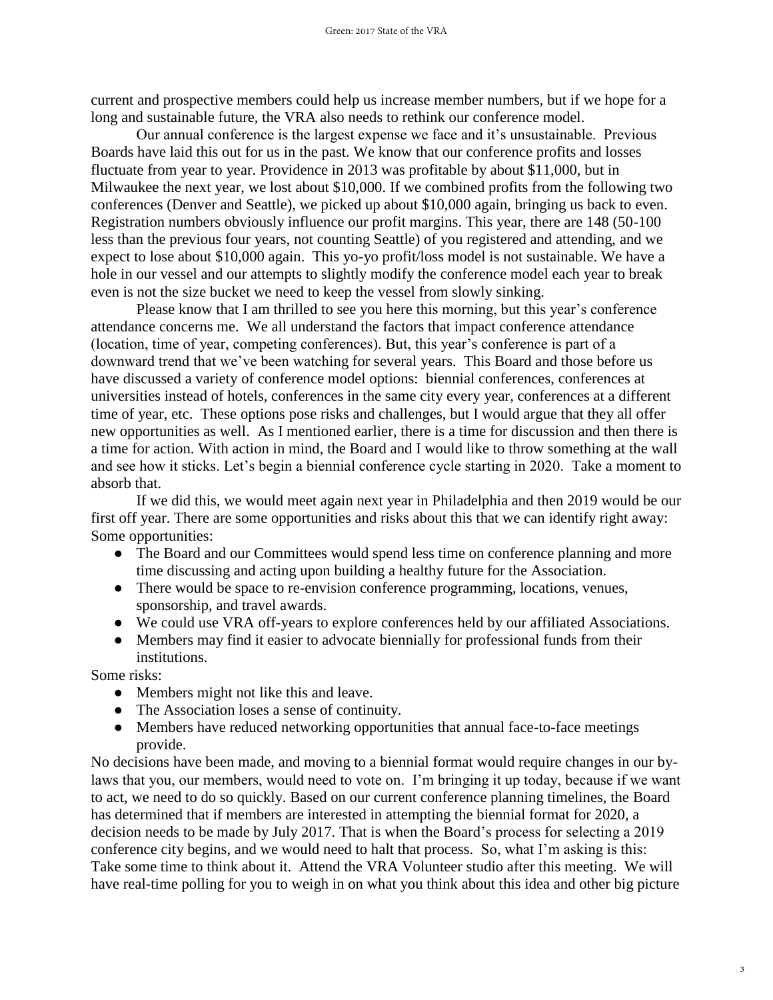current and prospective members could help us increase member numbers, but if we hope for a long and sustainable future, the VRA also needs to rethink our conference model.

Our annual conference is the largest expense we face and it's unsustainable. Previous Boards have laid this out for us in the past. We know that our conference profits and losses fluctuate from year to year. Providence in 2013 was profitable by about \$11,000, but in Milwaukee the next year, we lost about \$10,000. If we combined profits from the following two conferences (Denver and Seattle), we picked up about \$10,000 again, bringing us back to even. Registration numbers obviously influence our profit margins. This year, there are 148 (50-100 less than the previous four years, not counting Seattle) of you registered and attending, and we expect to lose about \$10,000 again. This yo-yo profit/loss model is not sustainable. We have a hole in our vessel and our attempts to slightly modify the conference model each year to break even is not the size bucket we need to keep the vessel from slowly sinking.

Please know that I am thrilled to see you here this morning, but this year's conference attendance concerns me. We all understand the factors that impact conference attendance (location, time of year, competing conferences). But, this year's conference is part of a downward trend that we've been watching for several years. This Board and those before us have discussed a variety of conference model options: biennial conferences, conferences at universities instead of hotels, conferences in the same city every year, conferences at a different time of year, etc. These options pose risks and challenges, but I would argue that they all offer new opportunities as well. As I mentioned earlier, there is a time for discussion and then there is a time for action. With action in mind, the Board and I would like to throw something at the wall and see how it sticks. Let's begin a biennial conference cycle starting in 2020. Take a moment to absorb that.

If we did this, we would meet again next year in Philadelphia and then 2019 would be our first off year. There are some opportunities and risks about this that we can identify right away: Some opportunities:

- The Board and our Committees would spend less time on conference planning and more time discussing and acting upon building a healthy future for the Association.
- There would be space to re-envision conference programming, locations, venues, sponsorship, and travel awards.
- We could use VRA off-years to explore conferences held by our affiliated Associations.
- Members may find it easier to advocate biennially for professional funds from their institutions.

Some risks:

- Members might not like this and leave.
- The Association loses a sense of continuity.
- Members have reduced networking opportunities that annual face-to-face meetings provide.

No decisions have been made, and moving to a biennial format would require changes in our bylaws that you, our members, would need to vote on. I'm bringing it up today, because if we want to act, we need to do so quickly. Based on our current conference planning timelines, the Board has determined that if members are interested in attempting the biennial format for 2020, a decision needs to be made by July 2017. That is when the Board's process for selecting a 2019 conference city begins, and we would need to halt that process. So, what I'm asking is this: Take some time to think about it. Attend the VRA Volunteer studio after this meeting. We will have real-time polling for you to weigh in on what you think about this idea and other big picture